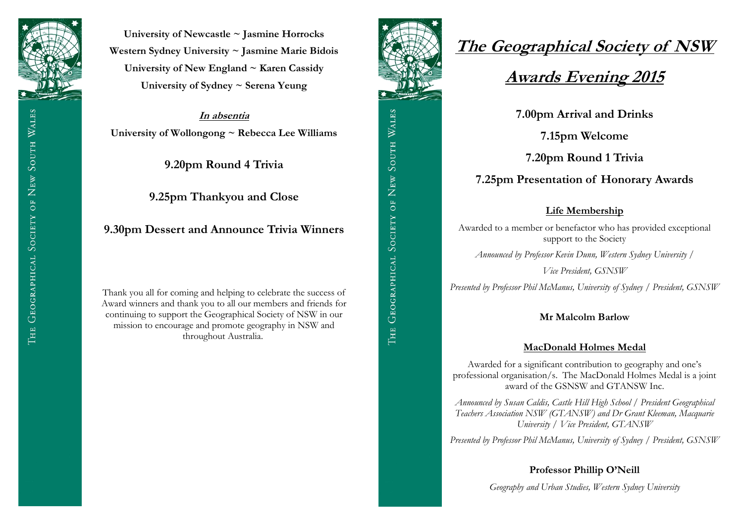

**University of Newcastle ~ Jasmine Horrocks Western Sydney University ~ Jasmine Marie Bidois University of New England ~ Karen Cassidy University of Sydney ~ Serena Yeung**

**In absentia University of Wollongong ~ Rebecca Lee Williams**

**9.20pm Round 4 Trivia**

**9.25pm Thankyou and Close**

**9.30pm Dessert and Announce Trivia Winners**

Thank you all for coming and helping to celebrate the success of Award winners and thank you to all our members and friends for continuing to support the Geographical Society of NSW in our mission to encourage and promote geography in NSW and throughout Australia.



# **The Geographical Society of NSW**

## **Awards Evening 2015**

**7.00pm Arrival and Drinks**

**7.15pm Welcome** 

**7.20pm Round 1 Trivia**

**7.25pm Presentation of Honorary Awards**

#### **Life Membership**

Awarded to a member or benefactor who has provided exceptional support to the Society

*Announced by Professor Kevin Dunn, Western Sydney University /* 

*Vice President, GSNSW*

*Presented by Professor Phil McManus, University of Sydney / President, GSNSW*

#### **Mr Malcolm Barlow**

#### **MacDonald Holmes Medal**

Awarded for a significant contribution to geography and one's professional organisation/s. The MacDonald Holmes Medal is a joint award of the GSNSW and GTANSW Inc.

*Announced by Susan Caldis, Castle Hill High School / President Geographical Teachers Association NSW (GTANSW) and Dr Grant Kleeman, Macquarie University / Vice President, GTANSW*

*Presented by Professor Phil McManus, University of Sydney / President, GSNSW*

#### **Professor Phillip O'Neill**

*Geography and Urban Studies, Western Sydney University*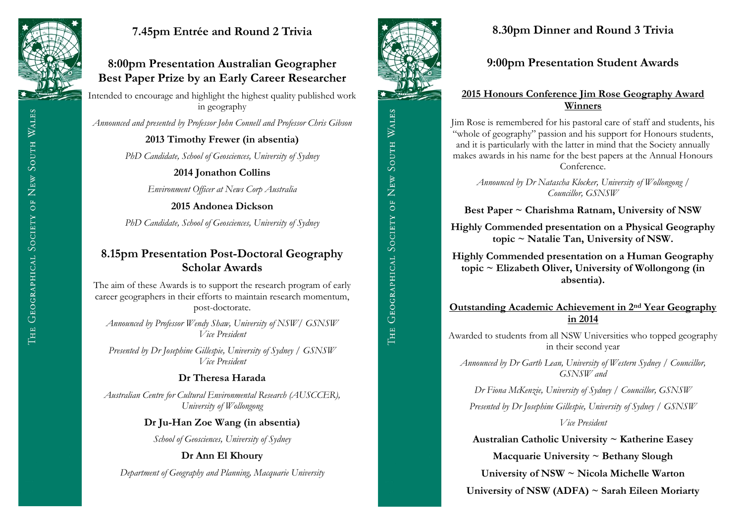

### **7.45pm Entrée and Round 2 Trivia**

### **8:00pm Presentation Australian Geographer Best Paper Prize by an Early Career Researcher**

Intended to encourage and highlight the highest quality published work in geography

*Announced and presented by Professor John Connell and Professor Chris Gibson*

**2013 Timothy Frewer (in absentia)**

*PhD Candidate, School of Geosciences, University of Sydney*

**2014 Jonathon Collins**

*Environment Officer at News Corp Australia* 

**2015 Andonea Dickson**

*PhD Candidate, School of Geosciences, University of Sydney*

### **8.15pm Presentation Post-Doctoral Geography Scholar Awards**

The aim of these Awards is to support the research program of early career geographers in their efforts to maintain research momentum, post-doctorate.

*Announced by Professor Wendy Shaw, University of NSW/ GSNSW Vice President*

*Presented by Dr Josephine Gillespie, University of Sydney / GSNSW Vice President*

### **Dr Theresa Harada**

*Australian Centre for Cultural Environmental Research (AUSCCER), University of Wollongong*

### **Dr Ju-Han Zoe Wang (in absentia)**

*School of Geosciences, University of Sydney*

### **Dr Ann El Khoury**

*Department of Geography and Planning, Macquarie University*



### **8.30pm Dinner and Round 3 Trivia**

**9:00pm Presentation Student Awards**

### **2015 Honours Conference Jim Rose Geography Award Winners**

Jim Rose is remembered for his pastoral care of staff and students, his "whole of geography" passion and his support for Honours students, and it is particularly with the latter in mind that the Society annually makes awards in his name for the best papers at the Annual Honours Conference.

*Announced by Dr Natascha Klocker, University of Wollongong / Councillor, GSNSW*

**Best Paper ~ Charishma Ratnam, University of NSW**

**Highly Commended presentation on a Physical Geography topic ~ Natalie Tan, University of NSW.**

**Highly Commended presentation on a Human Geography topic ~ Elizabeth Oliver, University of Wollongong (in absentia).**

### **Outstanding Academic Achievement in 2nd Year Geography in 2014**

Awarded to students from all NSW Universities who topped geography in their second year

*Announced by Dr Garth Lean, University of Western Sydney / Councillor, GSNSW and* 

*Dr Fiona McKenzie, University of Sydney / Councillor, GSNSW*

*Presented by Dr Josephine Gillespie, University of Sydney / GSNSW* 

*Vice President*

**Australian Catholic University ~ Katherine Easey**

**Macquarie University ~ Bethany Slough**

**University of NSW ~ Nicola Michelle Warton**

**University of NSW (ADFA) ~ Sarah Eileen Moriarty**